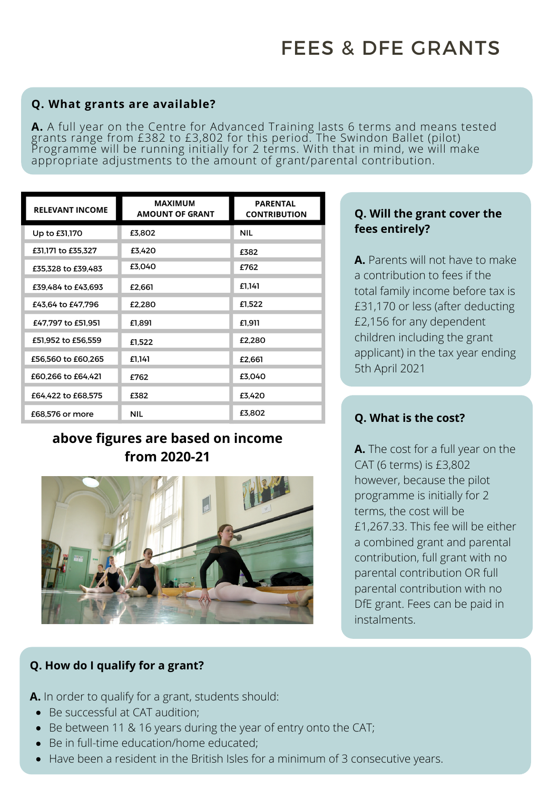#### **Q. What grants are available?**

**A.** A full year on the Centre for Advanced Training lasts 6 terms and means tested grants range from £382 to £3,802 for this period. The Swindon Ballet (pilot) Programme will be running initially for 2 terms. With that in mind, we will make appropriate adjustments to the amount of grant/parental contribution.

| <b>RELEVANT INCOME</b> | MAXIMUM<br><b>AMOUNT OF GRANT</b> | <b>PARENTAL</b><br><b>CONTRIBUTION</b> |
|------------------------|-----------------------------------|----------------------------------------|
| Up to £31,170          | £3,802                            | <b>NIL</b>                             |
| £31,171 to £35,327     | £3,420                            | £382                                   |
| £35,328 to £39,483     | £3.040                            | £762                                   |
| £39,484 to £43,693     | £2,661                            | £1,141                                 |
| £43,64 to £47,796      | £2.280                            | £1,522                                 |
| £47.797 to £51.951     | £1,891                            | £1.911                                 |
| £51,952 to £56,559     | £1,522                            | £2,280                                 |
| £56,560 to £60,265     | £1.141                            | £2,661                                 |
| £60,266 to £64,421     | £762                              | £3.040                                 |
| £64,422 to £68,575     | £382                              | £3,420                                 |
| £68,576 or more        | NIL                               | £3,802                                 |

# **above figures are based on income from 2020-21**



#### **Q. Will the grant cover the fees entirely?**

**A.** Parents will not have to make a contribution to fees if the total family income before tax is £31,170 or less (after deducting £2,156 for any dependent children including the grant applicant) in the tax year ending 5th April 2021

## **Q. What is the cost?**

**A.** The cost for a full year on the CAT (6 terms) is £3,802 however, because the pilot programme is initially for 2 terms, the cost will be £1,267.33. This fee will be either a combined grant and parental contribution, full grant with no parental contribution OR full parental contribution with no DfE grant. Fees can be paid in instalments.

## **Q. How do I qualify for a grant?**

**A.** In order to qualify for a grant, students should:

- Be successful at CAT audition;
- Be between 11 & 16 years during the year of entry onto the CAT;
- Be in full-time education/home educated;
- Have been a resident in the British Isles for a minimum of 3 consecutive years.